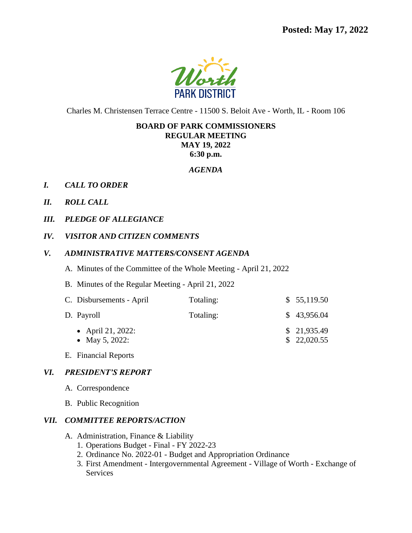

Charles M. Christensen Terrace Centre - 11500 S. Beloit Ave - Worth, IL - Room 106

### **BOARD OF PARK COMMISSIONERS REGULAR MEETING**

**MAY 19, 2022**

**6:30 p.m.**

### *AGENDA*

- *I. CALL TO ORDER*
- *II. ROLL CALL*
- *III. PLEDGE OF ALLEGIANCE*
- *IV. VISITOR AND CITIZEN COMMENTS*
- *V. ADMINISTRATIVE MATTERS/CONSENT AGENDA*
	- A. Minutes of the Committee of the Whole Meeting April 21, 2022
	- B. Minutes of the Regular Meeting April 21, 2022

| C. Disbursements - April            | Totaling: | \$55,119.50                |
|-------------------------------------|-----------|----------------------------|
| D. Payroll                          | Totaling: | \$43,956.04                |
| • April 21, 2022:<br>• May 5, 2022: |           | \$21,935.49<br>\$22,020.55 |

E. Financial Reports

# *VI. PRESIDENT'S REPORT*

- A. Correspondence
- B. Public Recognition

# *VII. COMMITTEE REPORTS/ACTION*

- A. Administration, Finance & Liability
	- 1. Operations Budget Final FY 2022-23
	- 2. Ordinance No. 2022-01 Budget and Appropriation Ordinance
	- 3. First Amendment Intergovernmental Agreement Village of Worth Exchange of Services